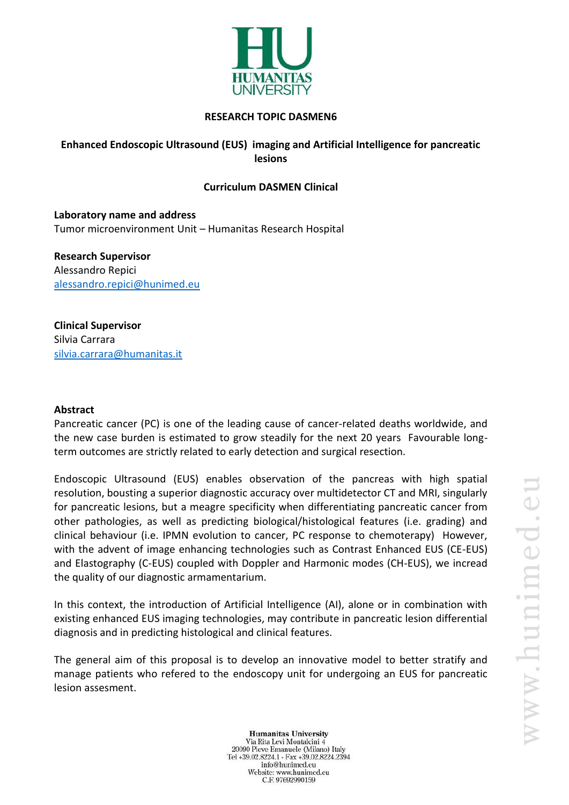

### **RESEARCH TOPIC DASMEN6**

# **Enhanced Endoscopic Ultrasound (EUS) imaging and Artificial Intelligence for pancreatic lesions**

### **Curriculum DASMEN Clinical**

**Laboratory name and address** Tumor microenvironment Unit – Humanitas Research Hospital

**Research Supervisor** Alessandro Repici [alessandro.repici@hunimed.eu](mailto:alessandro.repici@hunimed.eu)

**Clinical Supervisor** Silvia Carrara [silvia.carrara@humanitas.it](mailto:silvia.carrara@humanitas.it)

#### **Abstract**

Pancreatic cancer (PC) is one of the leading cause of cancer-related deaths worldwide, and the new case burden is estimated to grow steadily for the next 20 years Favourable longterm outcomes are strictly related to early detection and surgical resection.

Endoscopic Ultrasound (EUS) enables observation of the pancreas with high spatial resolution, bousting a superior diagnostic accuracy over multidetector CT and MRI, singularly for pancreatic lesions, but a meagre specificity when differentiating pancreatic cancer from other pathologies, as well as predicting biological/histological features (i.e. grading) and clinical behaviour (i.e. IPMN evolution to cancer, PC response to chemoterapy) However, with the advent of image enhancing technologies such as Contrast Enhanced EUS (CE-EUS) and Elastography (C-EUS) coupled with Doppler and Harmonic modes (CH-EUS), we incread the quality of our diagnostic armamentarium.

In this context, the introduction of Artificial Intelligence (AI), alone or in combination with existing enhanced EUS imaging technologies, may contribute in pancreatic lesion differential diagnosis and in predicting histological and clinical features.

The general aim of this proposal is to develop an innovative model to better stratify and manage patients who refered to the endoscopy unit for undergoing an EUS for pancreatic lesion assesment.

**Humanitas University** Via Rita Levi Montalcini 4 20090 Pieve Emanuele (Milano) Italy Tel +39.02.8224.1 - Fax +39.02.8224.2394 info@hunimed.eu Website: www.hunimed.eu C.F. 97692990159